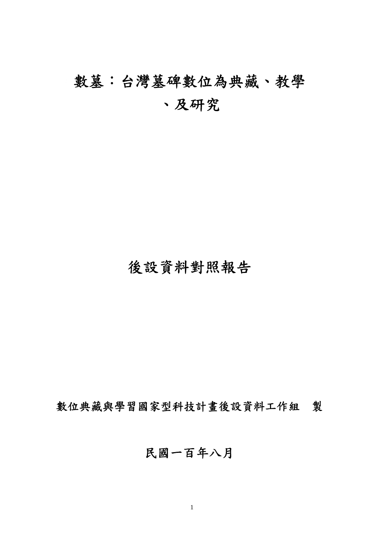# 數墓:台灣墓碑數位為典藏、教學 、及研究

# 後設資料對照報告

數位典藏與學習國家型科技計畫後設資料工作組 製

# 民國一百年八月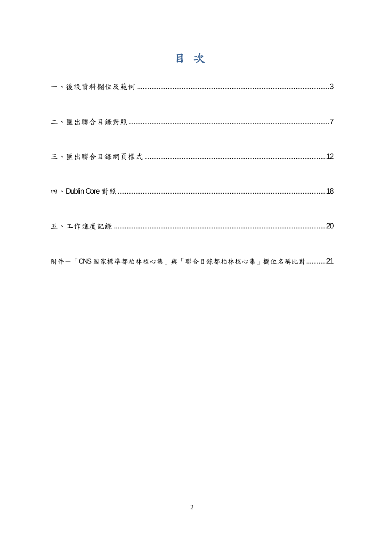# 目次

|  | 20 |
|--|----|
|  |    |

附件一「CNS 國家標準都柏林核心集」與「聯合目錄都柏林核心集」欄位名稱比對...........21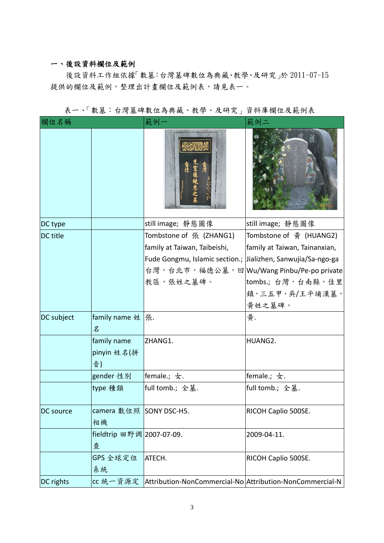### 一、後設資料欄位及範例

後設資料工作組依據「數墓:台灣墓碑數位為典藏、教學、及研究」於 2011-07-15 提供的欄位及範例,整理出計畫欄位及範例表,請見表一。

| 欄位名稱       |                                  | 範例-                                                                                                                                                                               | 範例二                                                                                                                     |
|------------|----------------------------------|-----------------------------------------------------------------------------------------------------------------------------------------------------------------------------------|-------------------------------------------------------------------------------------------------------------------------|
|            |                                  |                                                                                                                                                                                   |                                                                                                                         |
| DC type    |                                  | still image;静態圖像                                                                                                                                                                  | still image;静態圖像                                                                                                        |
| DC title   |                                  | Tombstone of 張 (ZHANG1)<br>family at Taiwan, Taibeishi,<br>Fude Gongmu, Islamic section.; Jializhen, Sanwujia/Sa-ngo-ga<br>台灣,台北市,福德公墓,回 Wu/Wang Pinbu/Pe-po private<br>教區,張姓之墓碑。 | Tombstone of $\frac{4}{9}$ (HUANG2)<br>family at Taiwan, Tainanxian,<br>tombs.; 台灣, 台南縣, 佳里<br>鎮,三五甲,吳/王平埔漢墓,<br>黃姓之墓碑。 |
| DC subject | family name 姓<br>名               | 張.                                                                                                                                                                                | 黃.                                                                                                                      |
|            | family name<br>pinyin 姓名(拼<br>音) | ZHANG1.                                                                                                                                                                           | HUANG2.                                                                                                                 |
|            | gender 性別                        | female.; 女.                                                                                                                                                                       | female.; $\pm$ .                                                                                                        |
|            | type 種類                          | full tomb.; 全墓.                                                                                                                                                                   | full tomb.; 全墓.                                                                                                         |
| DC source  | camera 數位照 SONY DSC-H5.<br>相機    |                                                                                                                                                                                   | RICOH Caplio 500SE.                                                                                                     |
|            | fieldtrip 田野调 2007-07-09.<br>查   |                                                                                                                                                                                   | 2009-04-11.                                                                                                             |
|            | GPS 全球定位<br>系統                   | ATECH.                                                                                                                                                                            | RICOH Caplio 500SE.                                                                                                     |
| DC rights  |                                  | cc 統一資源定 Attribution-NonCommercial-No Attribution-NonCommercial-N                                                                                                                 |                                                                                                                         |

表一、「數墓:台灣墓碑數位為典藏、教學、及研究」資料庫欄位及範例表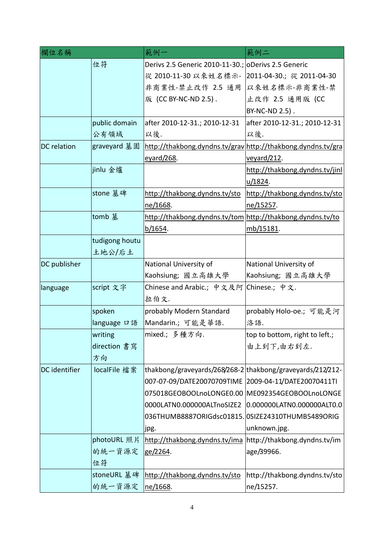| 欄位名稱                 |                | 範例一                                                          | 範例二                            |
|----------------------|----------------|--------------------------------------------------------------|--------------------------------|
|                      | 位符             | Derivs 2.5 Generic 2010-11-30.; oDerivs 2.5 Generic          |                                |
|                      |                | 從 2010-11-30 以來姓名標示-                                         | 2011-04-30.; 從 2011-04-30      |
|                      |                | 非商業性-禁止改作 2.5 通用                                             | 以來姓名標示-非商業性-禁                  |
|                      |                | 版 (CC BY-NC-ND 2.5).                                         | 止改作 2.5 通用版 (CC                |
|                      |                |                                                              | BY-NC-ND 2.5).                 |
|                      | public domain  | after 2010-12-31.; 2010-12-31                                | after 2010-12-31.; 2010-12-31  |
|                      | 公有領域           | 以後.                                                          | 以後.                            |
| <b>DC</b> relation   | graveyard 墓園   | http://thakbong.dyndns.tv/grav http://thakbong.dyndns.tv/gra |                                |
|                      |                | eyard/268.                                                   | veyard/212.                    |
|                      | jinlu 金爐       |                                                              | http://thakbong.dyndns.tv/jinl |
|                      |                |                                                              | <u>u/1824</u> .                |
|                      | stone 墓碑       | http://thakbong.dyndns.tv/sto                                | http://thakbong.dyndns.tv/sto  |
|                      |                | ne/1668.                                                     | ne/15257.                      |
|                      | tomb 墓         | http://thakbong.dyndns.tv/tom http://thakbong.dyndns.tv/to   |                                |
|                      |                | b/1654.                                                      | mb/15181.                      |
|                      | tudigong houtu |                                                              |                                |
|                      | 土地公/后土         |                                                              |                                |
| DC publisher         |                | National University of                                       | National University of         |
|                      |                | Kaohsiung; 國立高雄大學                                            | Kaohsiung; 國立高雄大學              |
| language             | script 文字      | Chinese and Arabic.; 中文及阿                                    | Chinese.; 中文.                  |
|                      |                | 拉伯文.                                                         |                                |
|                      | spoken         | probably Modern Standard                                     | probably Holo-oe.; 可能是河        |
|                      | language 口語    | Mandarin.; 可能是華語.                                            | 洛語.                            |
|                      | writing        | mixed.; 多種方向.                                                | top to bottom, right to left.; |
|                      | direction 書寫   |                                                              | 由上到下,由右到左.                     |
|                      | 方向             |                                                              |                                |
| <b>DC</b> identifier | localFile 檔案   | thakbong/graveyards/268/268-2 thakbong/graveyards/212/212-   |                                |
|                      |                | 007-07-09/DATE20070709TIME 2009-04-11/DATE20070411TI         |                                |
|                      |                | 075018GEOBOOLnoLONGE0.00 ME092354GEOBOOLnoLONGE              |                                |
|                      |                | 0000LATN0.000000ALTnoSIZE2                                   | 0.000000LATN0.000000ALT0.0     |
|                      |                | 036THUMB8887ORIGdsc01815. 0SIZE24310THUMB5489ORIG            |                                |
|                      |                | jpg.                                                         | unknown.jpg.                   |
|                      | photoURL 照片    | http://thakbong.dyndns.tv/ima                                | http://thakbong.dyndns.tv/im   |
|                      | 的統一資源定         | ge/2264.                                                     | age/39966.                     |
|                      | 位符             |                                                              |                                |
|                      | stoneURL 墓碑    | http://thakbong.dyndns.tv/sto                                | http://thakbong.dyndns.tv/sto  |
|                      | 的統一資源定         | ne/1668.                                                     | ne/15257.                      |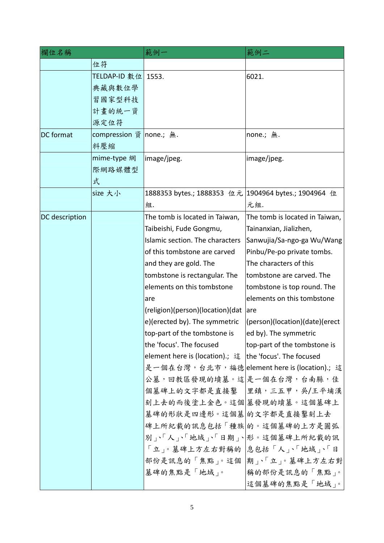| 欄位名稱             |                         | 範例一                                                      | 範例二                            |
|------------------|-------------------------|----------------------------------------------------------|--------------------------------|
|                  | 位符                      |                                                          |                                |
|                  | TELDAP-ID 數位            | 1553.                                                    | 6021.                          |
|                  | 典藏與數位學                  |                                                          |                                |
|                  | 習國家型科技                  |                                                          |                                |
|                  | 計畫的統一資                  |                                                          |                                |
|                  | 源定位符                    |                                                          |                                |
| <b>DC</b> format | compression 資 none.; 無. |                                                          | none.; 無.                      |
|                  | 料壓縮                     |                                                          |                                |
|                  | mime-type 網             | image/jpeg.                                              | image/jpeg.                    |
|                  | 際網路媒體型                  |                                                          |                                |
|                  | 式                       |                                                          |                                |
|                  | size 大小                 | 1888353 bytes.; 1888353 位元  1904964 bytes.; 1904964 位    |                                |
|                  |                         | 組.                                                       | 元組.                            |
| DC description   |                         | The tomb is located in Taiwan,                           | The tomb is located in Taiwan, |
|                  |                         | Taibeishi, Fude Gongmu,                                  | Tainanxian, Jializhen,         |
|                  |                         | Islamic section. The characters                          | Sanwujia/Sa-ngo-ga Wu/Wang     |
|                  |                         | of this tombstone are carved                             | Pinbu/Pe-po private tombs.     |
|                  |                         | and they are gold. The                                   | The characters of this         |
|                  |                         | tombstone is rectangular. The                            | tombstone are carved. The      |
|                  |                         | elements on this tombstone                               | tombstone is top round. The    |
|                  |                         | are                                                      | elements on this tombstone     |
|                  |                         | (religion)(person)(location)(dat                         | lare                           |
|                  |                         | e)(erected by). The symmetric                            | (person)(location)(date)(erect |
|                  |                         | top-part of the tombstone is                             | ed by). The symmetric          |
|                  |                         | the 'focus'. The focused                                 | top-part of the tombstone is   |
|                  |                         | element here is (location).; 這  the 'focus'. The focused |                                |
|                  |                         | 是一個在台灣,台北市,福德 element here is (location).; 這             |                                |
|                  |                         | 公墓,回教區發現的墳墓。這是一個在台灣,台南縣,佳                                |                                |
|                  |                         | 個墓碑上的文字都是直接鑿  里鎮,三五甲,吳/王平埔漢                              |                                |
|                  |                         | 刻上去的而後塗上金色。這個 墓發現的墳墓。這個墓碑上                               |                                |
|                  |                         | 墓碑的形狀是四邊形。這個墓 的文字都是直接鑿刻上去                                |                                |
|                  |                         | 碑上所紀載的訊息包括「種族 的。這個墓碑的上方是圓弧                               |                                |
|                  |                         | 別、「人、「地域、「日期、 形。這個墓碑上所紀載的訊                               |                                |
|                  |                         | 「立」。墓碑上方左右對稱的  息包括「人」、「地域」、「日                            |                                |
|                  |                         | 部份是訊息的「焦點」。這個 期」、「立」。墓碑上方左右對                             |                                |
|                  |                         | 墓碑的焦點是「地域」。                                              | 稱的部份是訊息的「焦點」。                  |
|                  |                         |                                                          | 這個墓碑的焦點是「地域」。                  |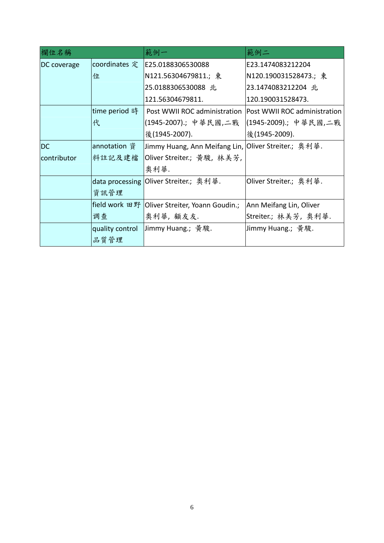| 欄位名稱        |                 | 範例一                                                   | 範例二                          |  |
|-------------|-----------------|-------------------------------------------------------|------------------------------|--|
| DC coverage | coordinates 定   | E25.0188306530088                                     | E23.1474083212204            |  |
|             | 位               | N121.56304679811.; 東                                  | N120.190031528473.; 東        |  |
|             |                 | 25.0188306530088 北                                    | 23.1474083212204 北           |  |
|             |                 | 120.190031528473.<br>121.56304679811.                 |                              |  |
|             | time period 時   | Post WWII ROC administration                          | Post WWII ROC administration |  |
|             | 代               | (1945-2007).;中華民國,二戰                                  | (1945-2009).; 中華民國,二戰        |  |
|             |                 | 後(1945-2007).                                         | 後(1945-2009).                |  |
| <b>DC</b>   | annotation 資    | Jimmy Huang, Ann Meifang Lin,  Oliver Streiter.; 奧利華. |                              |  |
| contributor | 料註記及建檔          | Oliver Streiter.; 黄駿, 林美芳,                            |                              |  |
|             |                 | 奧利華.                                                  |                              |  |
|             |                 | data processing Oliver Streiter.; 奥利華.                | Oliver Streiter.; 奥利華.       |  |
|             | 資訊管理            |                                                       |                              |  |
|             |                 | field work 田野   Oliver Streiter, Yoann Goudin.;       | Ann Meifang Lin, Oliver      |  |
|             | 调查              | 奥利華, 顧友友.                                             | Streiter.; 林美芳, 奥利華.         |  |
|             | quality control | Jimmy Huang.; 黃駿.                                     | Jimmy Huang.; 黃駿.            |  |
|             | 品質管理            |                                                       |                              |  |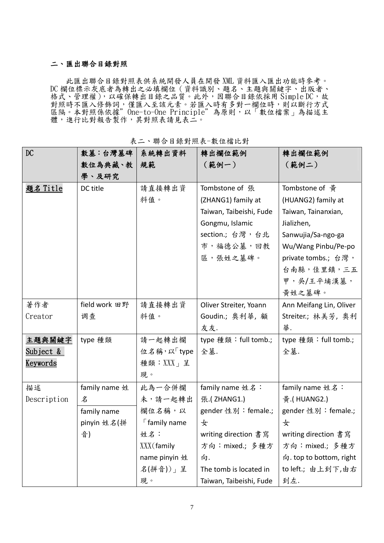#### 二、匯出聯合目錄對照

此匯出聯合目錄對照表供系統開發人員在開發 XML 資料匯入匯出功能時參考。 DC 欄位標示灰底者為轉出之必填欄位(資料識別、題名、主題與關鍵字、出版者、 格式、管理權), 以確保轉出目錄之品質。此外, 因聯合目錄依採用 Simple DC, 故 對照時不匯入修飾詞,僅匯入至該元素。若匯入時有多對一欄位時,則以斷行方式 區隔。本對照係依據"One-to-One Principle"為原則,以「數位檔案」為描述主 體,進行比對報告製作,其對照表請見表二。

| $\mathop{\rm DC}$    | 數墓:台灣墓碑       | 系統轉出資料                 | 轉出欄位範例                  | 轉出欄位範例                  |
|----------------------|---------------|------------------------|-------------------------|-------------------------|
|                      | 數位為典藏、教       | 規範                     | (範例一)                   | (範例二)                   |
|                      | 學、及研究         |                        |                         |                         |
| <u>題名 Title</u>      | DC title      | 請直接轉出資                 | Tombstone of 張          | Tombstone of 黄          |
|                      |               | 料值。                    | (ZHANG1) family at      | (HUANG2) family at      |
|                      |               |                        | Taiwan, Taibeishi, Fude | Taiwan, Tainanxian,     |
|                      |               |                        | Gongmu, Islamic         | Jializhen,              |
|                      |               |                        | section.; 台灣, 台北        | Sanwujia/Sa-ngo-ga      |
|                      |               |                        | 市,福德公墓,回教               | Wu/Wang Pinbu/Pe-po     |
|                      |               |                        | 區,張姓之墓碑。                | private tombs.; 台灣,     |
|                      |               |                        |                         | 台南縣,佳里鎮,三五              |
|                      |               |                        |                         | 甲,吳/王平埔漢墓,              |
|                      |               |                        |                         | 黃姓之墓碑。                  |
| 著作者                  | field work 田野 | 請直接轉出資                 | Oliver Streiter, Yoann  | Ann Meifang Lin, Oliver |
| Creator              | 调查            | 料值。                    | Goudin.; 奥利華, 顧         | Streiter.; 林美芳, 奥利      |
|                      |               |                        | 友友.                     | 華.                      |
| 主題與關鍵字               | type 種類       | 請一起轉出欄                 | type 種類: full tomb.;    | type 種類: full tomb.;    |
| <u>Subject &amp;</u> |               | 位名稱,以「type             | 全墓.                     | 全墓.                     |
| <u>Keywords</u>      |               | 種類:XXX」呈               |                         |                         |
|                      |               | 現。                     |                         |                         |
| 描述                   | family name 姓 | 此為一合併欄                 | family name 姓名:         | family name 姓名:         |
| Description          | 名             | 未,請一起轉出                | 張.(ZHANG1.)             | 黃.(HUANG2.)             |
|                      | family name   | 欄位名稱,以                 | gender 性別: female.;     | gender 性別: female.;     |
|                      | pinyin 姓名(拼   | $\sqrt{2}$ family name | 女                       | 女                       |
|                      | 音)            | 姓名:                    | writing direction 書寫    | writing direction 書寫    |
|                      |               | XXX (family            | 方向: mixed.; 多種方         | 方向: mixed.; 多種方         |
|                      |               | name pinyin 姓          | 向.                      | 向. top to bottom, right |
|                      |               | 名(拼音))」呈               | The tomb is located in  | to left.; 由上到下,由右       |
|                      |               | 現。                     | Taiwan, Taibeishi, Fude | 到左.                     |

表二、聯合目錄對照表-數位檔比對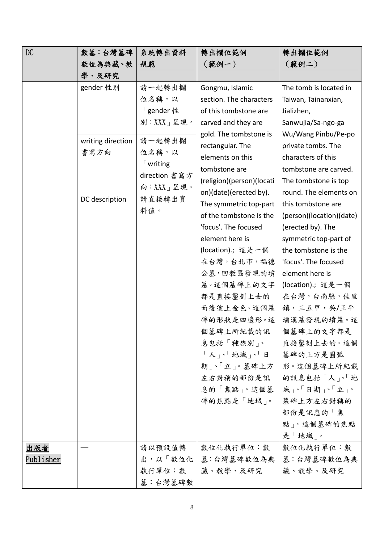| DC        | 數墓:台灣墓碑           | 系統轉出資料              | 轉出欄位範例                    | 轉出欄位範例                   |
|-----------|-------------------|---------------------|---------------------------|--------------------------|
|           | 數位為典藏、教           | 規範                  | (範例一)                     | (範例二)                    |
|           | 學、及研究             |                     |                           |                          |
|           | gender 性別         | 請一起轉出欄              | Gongmu, Islamic           | The tomb is located in   |
|           |                   | 位名稱,以               | section. The characters   | Taiwan, Tainanxian,      |
|           |                   | 「gender 性           | of this tombstone are     | Jializhen,               |
|           |                   | 別:XXX」呈現。           | carved and they are       | Sanwujia/Sa-ngo-ga       |
|           | writing direction | 請一起轉出欄              | gold. The tombstone is    | Wu/Wang Pinbu/Pe-po      |
|           | 書寫方向              | 位名稱,以               | rectangular. The          | private tombs. The       |
|           |                   | $\sqrt{\ }$ writing | elements on this          | characters of this       |
|           |                   | direction 書寫方       | tombstone are             | tombstone are carved.    |
|           |                   | 向:XXX」呈現。           | (religion)(person)(locati | The tombstone is top     |
|           | DC description    | 請直接轉出資              | on)(date)(erected by).    | round. The elements on   |
|           |                   | 料值。                 | The symmetric top-part    | this tombstone are       |
|           |                   |                     | of the tombstone is the   | (person)(location)(date) |
|           |                   |                     | 'focus'. The focused      | (erected by). The        |
|           |                   |                     | element here is           | symmetric top-part of    |
|           |                   |                     | (location).; 這是一個         | the tombstone is the     |
|           |                   |                     | 在台灣,台北市,福德                | 'focus'. The focused     |
|           |                   |                     | 公墓,回教區發現的墳                | element here is          |
|           |                   |                     | 墓。這個墓碑上的文字                | (location) .; 這是一個       |
|           |                   |                     | 都是直接鑿刻上去的                 | 在台灣,台南縣,佳里               |
|           |                   |                     | 而後塗上金色。這個墓                | 鎮,三五甲,吳/王平               |
|           |                   |                     | 碑的形狀是四邊形。這                | 埔漢墓發現的墳墓。這               |
|           |                   |                     | 個墓碑上所紀載的訊                 | 個墓碑上的文字都是                |
|           |                   |                     | 息包括「種族別」、                 | 直接鑿刻上去的。這個               |
|           |                   |                     | 「人」、「地域」、「日               | 墓碑的上方是圓弧                 |
|           |                   |                     | 期下「立」。墓碑上方                | 形。這個墓碑上所紀載               |
|           |                   |                     | 左右對稱的部份是訊                 | 的訊息包括「人」、「地              |
|           |                   |                     | 息的「焦點」。這個墓                | 域、「日期」、「立」。              |
|           |                   |                     | 碑的焦點是「地域」。                | 墓碑上方左右對稱的                |
|           |                   |                     |                           | 部份是訊息的「焦                 |
|           |                   |                     |                           | 點」。這個墓碑的焦點               |
|           |                   |                     |                           | 是「地域」。                   |
| 出版者       |                   | 請以預設值轉              | 數位化執行單位:數                 | 數位化執行單位:數                |
| Publisher |                   | 出,以「數位化             | 墓:台灣墓碑數位為典                | 墓:台灣墓碑數位為典               |
|           |                   | 執行單位:數              | 藏、教學、及研究                  | 藏、教學、及研究                 |
|           |                   | 墓:台灣墓碑數             |                           |                          |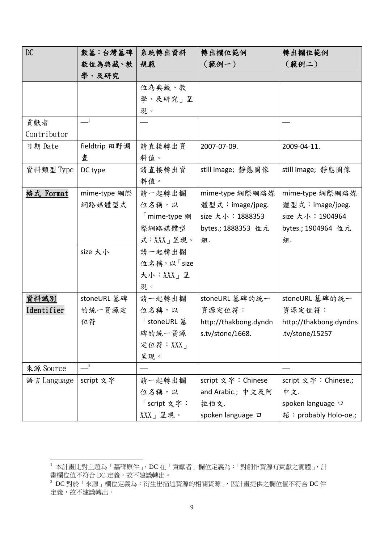| DC          | 數墓:台灣墓碑                          | 系統轉出資料       | 轉出欄位範例                | 轉出欄位範例                 |
|-------------|----------------------------------|--------------|-----------------------|------------------------|
|             | 數位為典藏、教                          | 規範           | (範例一)                 | (範例二)                  |
|             | 學、及研究                            |              |                       |                        |
|             |                                  | 位為典藏、教       |                       |                        |
|             |                                  | 學、及研究」呈      |                       |                        |
|             |                                  | 現。           |                       |                        |
| 貢獻者         | $\frac{1}{\sqrt{1-\frac{1}{2}}}$ |              |                       |                        |
| Contributor |                                  |              |                       |                        |
| 日期 Date     | fieldtrip 田野调                    | 請直接轉出資       | 2007-07-09.           | 2009-04-11.            |
|             | 查                                | 料值。          |                       |                        |
| 資料類型 Type   | DC type                          | 請直接轉出資       | still image; 靜態圖像     | still image; 靜態圖像      |
|             |                                  | 料值。          |                       |                        |
| 格式 Format   | mime-type 網際                     | 請一起轉出欄       | mime-type 網際網路媒       | mime-type 網際網路媒        |
|             | 網路媒體型式                           | 位名稱,以        | 體型式: image/jpeg.      | 體型式:image/jpeg.        |
|             |                                  | 「mime-type 網 | size 大小: 1888353      | size 大小:1904964        |
|             |                                  | 際網路媒體型       | bytes.; 1888353 位元    | bytes.; 1904964 位元     |
|             |                                  | 式:XXX」呈現。    | 組.                    | 組.                     |
|             | size 大小                          | 請一起轉出欄       |                       |                        |
|             |                                  | 位名稱,以「size   |                       |                        |
|             |                                  | 大小:XXX」呈     |                       |                        |
|             |                                  | 現。           |                       |                        |
| 資料識別        | stoneURL 墓碑                      | 請一起轉出欄       | stoneURL 墓碑的統一        | stoneURL 墓碑的統一         |
| Identifier  | 的統一資源定                           | 位名稱,以        | 資源定位符:                | 資源定位符:                 |
|             | 位符                               | 「stoneURL 墓  | http://thakbong.dyndn | http://thakbong.dyndns |
|             |                                  | 碑的統一資源       | s.tv/stone/1668.      | tv/stone/15257.        |
|             |                                  | 定位符: $XX$ 」  |                       |                        |
|             |                                  | 呈現。          |                       |                        |
| 來源 Source   | $\overline{\phantom{2}}^2$       |              |                       |                        |
| 語言 Language | script 文字                        | 請一起轉出欄       | script 文字: Chinese    | script 文字: Chinese.;   |
|             |                                  | 位名稱,以        | and Arabic.; 中文及阿     | 中文.                    |
|             |                                  | 「script 文字:  | 拉伯文.                  | spoken language D      |
|             |                                  | $XXX$ 」呈現。   | spoken language D     | 語: probably Holo-oe.;  |

1

 $^1$  本計畫比對主題為「墓碑原件」,DC 在「貢獻者」欄位定義為:「對創作資源有貢獻之實體」,計 畫欄位值不符合 DC 定義,故不建議轉出。

 $^2$  DC 對於「來源」欄位定義為:衍生出描述資源的相關資源 ,因計畫提供之欄位值不符合 DC 件 定義,故不建議轉出。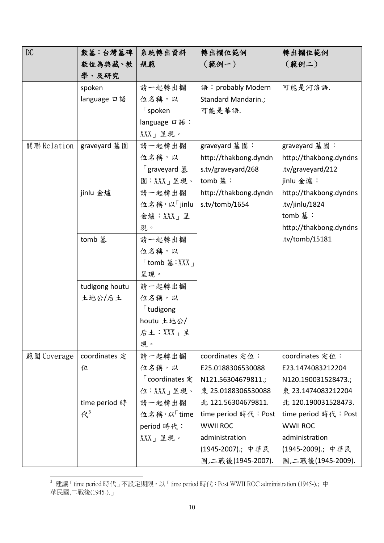| DC          | 數墓:台灣墓碑        | 系統轉出資料                                                 | 轉出欄位範例                | 轉出欄位範例                 |
|-------------|----------------|--------------------------------------------------------|-----------------------|------------------------|
|             | 數位為典藏、教        | 規範                                                     | (範例一)                 | (範例二)                  |
|             | 學、及研究          |                                                        |                       |                        |
|             | spoken         | 請一起轉出欄                                                 | 語: probably Modern    | 可能是河洛語.                |
|             | language 口語    | 位名稱,以                                                  | Standard Mandarin.;   |                        |
|             |                | $\sqrt{2}$ spoken                                      | 可能是華語.                |                        |
|             |                | language 口語:                                           |                       |                        |
|             |                | $XXX$ 」呈現。                                             |                       |                        |
| 關聯 Relation | graveyard 墓園   | 請一起轉出欄                                                 | graveyard 墓園:         | graveyard 墓園:          |
|             |                | 位名稱,以                                                  | http://thakbong.dyndn | http://thakbong.dyndns |
|             |                | 「graveyard 墓                                           | s.tv/graveyard/268    | .tv/graveyard/212      |
|             |                | 園:XXX」呈現。                                              | tomb 墓:               | jinlu 金爐:              |
|             | jinlu 金爐       | 請一起轉出欄                                                 | http://thakbong.dyndn | http://thakbong.dyndns |
|             |                | 位名稱,以「jinlu                                            | s.tv/tomb/1654        | tv/jinlu/1824.         |
|             |                | 金爐: $XXX_1 \nvert \nvert \nvert \nvert$                |                       | tomb 墓:                |
|             |                | 現。                                                     |                       | http://thakbong.dyndns |
|             | tomb 基         | 請一起轉出欄                                                 |                       | .tv/tomb/15181         |
|             |                | 位名稱,以                                                  |                       |                        |
|             |                | $\sqrt{\frac{1}{2}}$ tomb 墓 : XXX $\sqrt{\frac{1}{2}}$ |                       |                        |
|             |                | 呈現。                                                    |                       |                        |
|             | tudigong houtu | 請一起轉出欄                                                 |                       |                        |
|             | 土地公/后土         | 位名稱,以                                                  |                       |                        |
|             |                | $\sqrt{\ }$ tudigong                                   |                       |                        |
|             |                | houtu 土地公/                                             |                       |                        |
|             |                | 后土: $XXX$ 」呈                                           |                       |                        |
|             |                | 現。                                                     |                       |                        |
| 範圍 Coverage | coordinates 定  | 請一起轉出欄                                                 | coordinates 定位:       | coordinates 定位:        |
|             | 位              | 位名稱,以                                                  | E25.0188306530088     | E23.1474083212204      |
|             |                | 「coordinates 定                                         | N121.56304679811.;    | N120.190031528473.;    |
|             |                | 位:XXX」呈現。                                              | 東 25.0188306530088    | 東 23.1474083212204     |
|             | time period 時  | 請一起轉出欄                                                 | 北 121.56304679811.    | 北 120.190031528473.    |
|             | R <sup>3</sup> | 位名稱,以「time                                             | time period 時代: Post  | time period 時代: Post   |
|             |                | period 時代:                                             | <b>WWII ROC</b>       | <b>WWII ROC</b>        |
|             |                | $XXX$ 」呈現。                                             | administration        | administration         |
|             |                |                                                        | (1945-2007).; 中華民     | (1945-2009).; 中華民      |
|             |                |                                                        | 國,二戰後(1945-2007).     | 國,二戰後(1945-2009).      |

 3 建議「time period 時代」不設定期限,以「time period 時代:Post WWII ROC administration (1945-).; 中 華民國,二戰後(1945-).」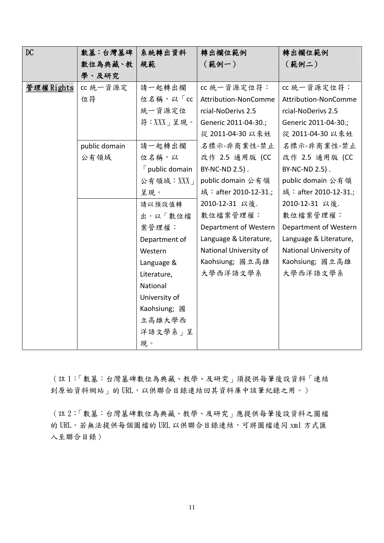| DC        | 數墓:台灣墓碑       | 系統轉出資料                 | 轉出欄位範例                 | 轉出欄位範例                 |
|-----------|---------------|------------------------|------------------------|------------------------|
|           | 數位為典藏、教       | 規範                     | (範例一)                  | (範例二)                  |
|           | 學、及研究         |                        |                        |                        |
| 管理權Rights | cc 統一資源定      | 請一起轉出欄                 | cc 統一資源定位符:            | cc 統一資源定位符:            |
|           | 位符            | 位名稱,以「cc               | Attribution-NonComme   | Attribution-NonComme   |
|           |               | 統一資源定位                 | rcial-NoDerivs 2.5     | rcial-NoDerivs 2.5     |
|           |               | 符:XXX」呈現。              | Generic 2011-04-30.;   | Generic 2011-04-30.;   |
|           |               |                        | 從 2011-04-30 以來姓       | 從 2011-04-30 以來姓       |
|           | public domain | 請一起轉出欄                 | 名標示-非商業性-禁止            | 名標示-非商業性-禁止            |
|           | 公有領域          | 位名稱,以                  | 改作 2.5 通用版 (CC         | 改作 2.5 通用版 (CC         |
|           |               | $\lceil$ public domain | BY-NC-ND 2.5).         | BY-NC-ND 2.5).         |
|           |               | 公有領域: XXX              | public domain 公有領      | public domain 公有領      |
|           |               | 呈現。                    | 域: after 2010-12-31.;  | 域: after 2010-12-31.;  |
|           |               | 請以預設值轉                 | 2010-12-31 以後.         | 2010-12-31 以後.         |
|           |               | 出,以「數位檔                | 數位檔案管理權:               | 數位檔案管理權:               |
|           |               | 案管理權:                  | Department of Western  | Department of Western  |
|           |               | Department of          | Language & Literature, | Language & Literature, |
|           |               | Western                | National University of | National University of |
|           |               | Language &             | Kaohsiung; 國立高雄        | Kaohsiung; 國立高雄        |
|           |               | Literature,            | 大學西洋語文學系               | 大學西洋語文學系               |
|           |               | National               |                        |                        |
|           |               | University of          |                        |                        |
|           |               | Kaohsiung; 國           |                        |                        |
|           |               | 立高雄大學西                 |                        |                        |
|           |               | 洋語文學系」呈                |                        |                        |
|           |               | 現。                     |                        |                        |

(註 1:「數墓:台灣墓碑數位為典藏、教學、及研究」須提供每筆後設資料「連結 到原始資料網站」的 URL,以供聯合目錄連結回其資料庫中該筆紀錄之用。)

(註 2:「數墓:台灣墓碑數位為典藏、教學、及研究」應提供每筆後設資料之圖檔 的 URL。若無法提供每個圖檔的 URL 以供聯合目錄連結,可將圖檔連同 xml 方式匯 入至聯合目錄)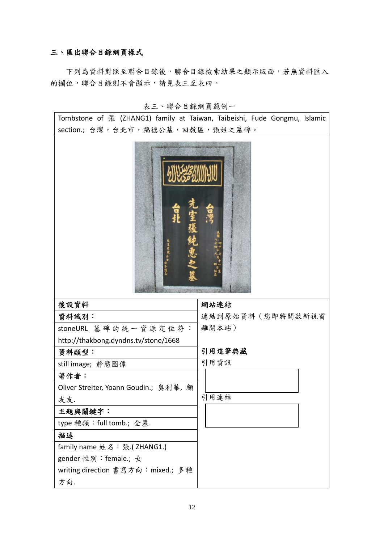### 三、匯出聯合目錄網頁樣式

 下列為資料對照至聯合目錄後,聯合目錄檢索結果之顯示版面,若無資料匯入 的欄位,聯合目錄則不會顯示,請見表三至表四。

|  |  |  |  |  | 表三、聯合目錄網頁範例一 |  |
|--|--|--|--|--|--------------|--|
|--|--|--|--|--|--------------|--|

Tombstone of 張 (ZHANG1) family at Taiwan, Taibeishi, Fude Gongmu, Islamic section.; 台灣, 台北市, 福德公墓, 回教區, 張姓之墓碑。



| 後設資料                                   | 網站連結             |
|----------------------------------------|------------------|
| 資料識別:                                  | 連結到原始資料(您即將開啟新視窗 |
| stoneURL 墓碑的統一資源定位符:                   | 離開本站)            |
| http://thakbong.dyndns.tv/stone/1668   |                  |
| 資料類型:                                  | 引用這筆典藏           |
| still image;靜態圖像                       | 引用資訊             |
| 著作者:                                   |                  |
| Oliver Streiter, Yoann Goudin.; 奥利華, 顧 |                  |
| 友友.                                    | 引用連結             |
| 主題與關鍵字:                                |                  |
| type 種類:full tomb.; 全墓.                |                  |
| 描述                                     |                  |
| family name 姓名:張.(ZHANG1.)             |                  |
| gender 性別:female.; 女                   |                  |
| writing direction 書寫方向:mixed.; 多種      |                  |
| 方向.                                    |                  |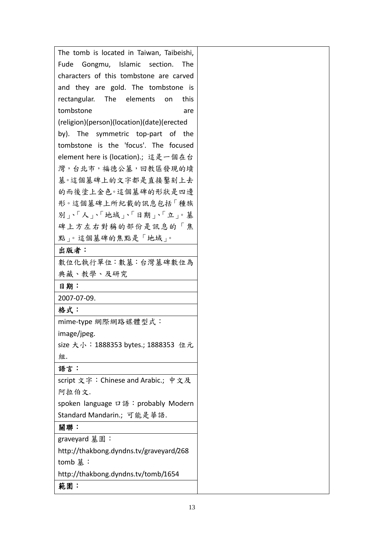| The tomb is located in Taiwan, Taibeishi,  |
|--------------------------------------------|
| Fude Gongmu, Islamic section. The          |
| characters of this tombstone are carved    |
| and they are gold. The tombstone is        |
| rectangular.<br>The elements<br>this<br>on |
| tombstone<br>are                           |
| (religion)(person)(location)(date)(erected |
| by). The symmetric top-part of the         |
| tombstone is the 'focus'. The focused      |
| element here is (location) ; 這是一個在台        |
| 灣,台北市,福德公墓,回教區發現的墳                         |
| 墓。這個墓碑上的文字都是直接繫刻上去                         |
| 的而後塗上金色。這個墓碑的形狀是四邊                         |
| 形。這個墓碑上所紀載的訊息包括「種族                         |
| 別、「人、「地域」、「日期」、「立」。墓                       |
| 碑上方左右對稱的部份是訊息的「焦                           |
| 點」。這個墓碑的焦點是「地域」。                           |
| 出版者:                                       |
| 數位化執行單位:數墓:台灣墓碑數位為                         |
| 典藏、教學、及研究                                  |
| 日期:                                        |
| 2007-07-09.                                |
| 格式:                                        |
| mime-type 網際網路媒體型式:                        |
| image/jpeg.                                |
| size 大小:1888353 bytes.; 1888353 位元         |
| 組.                                         |
| 語言:                                        |
| script 文字: Chinese and Arabic.; 中文及        |
| 阿拉伯文.                                      |
| spoken language ロ語: probably Modern        |
| Standard Mandarin.; 可能是華語.                 |
| 關聯:                                        |
| graveyard 墓園:                              |
| http://thakbong.dyndns.tv/graveyard/268    |
| tomb 墓:                                    |
| http://thakbong.dyndns.tv/tomb/1654        |
| 範圍:                                        |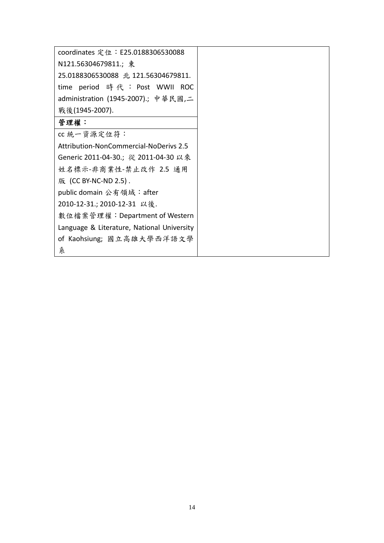| coordinates 定位: E25.0188306530088          |  |
|--------------------------------------------|--|
| N121.56304679811.; 東                       |  |
| 25.0188306530088 北 121.56304679811.        |  |
| time period 時代 : Post WWII ROC             |  |
| administration (1945-2007).; 中華民國,二        |  |
| 戰後(1945-2007).                             |  |
| 管理權:                                       |  |
| cc 統一資源定位符:                                |  |
| Attribution-NonCommercial-NoDerivs 2.5     |  |
| Generic 2011-04-30.; 從 2011-04-30 以來       |  |
| 姓名標示-非商業性-禁止改作 2.5 通用                      |  |
| 版 (CC BY-NC-ND 2.5).                       |  |
| public domain 公有領域: after                  |  |
| 2010-12-31.; 2010-12-31 以後.                |  |
| 數位檔案管理權:Department of Western              |  |
| Language & Literature, National University |  |
| of Kaohsiung; 國立高雄大學西洋語文學                  |  |
| 糸                                          |  |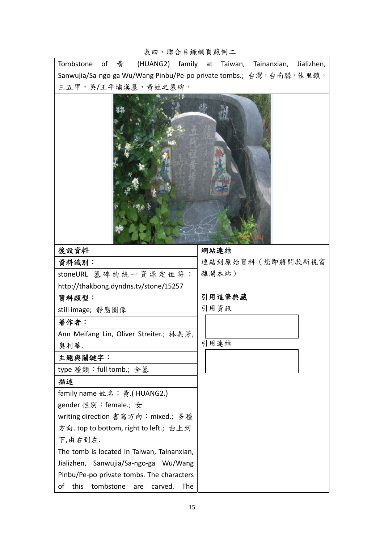### 表四、聯合目錄網頁範例二

Tombstone of 黃 (HUANG2) family at Taiwan, Tainanxian, Jializhen, Sanwujia/Sa-ngo-ga Wu/Wang Pinbu/Pe-po private tombs.; 台灣,台南縣,佳里鎮, 三五甲,吳/王平埔漢墓,黃姓之墓碑。



| 後設資料                                             | 網站連結             |
|--------------------------------------------------|------------------|
| 資料識別:                                            | 連結到原始資料(您即將開啟新視窗 |
| stoneURL 墓碑的統一資源定位符:                             | 離開本站)            |
| http://thakbong.dyndns.tv/stone/15257            |                  |
| 資料類型:                                            | 引用這筆典藏           |
| still image; 靜態圖像                                | 引用資訊             |
| 著作者:                                             |                  |
| Ann Meifang Lin, Oliver Streiter.; 林美芳,          |                  |
| 奥利華.                                             | 引用連結             |
| 主題與關鍵字:                                          |                  |
| type 種類:full tomb.; 全墓                           |                  |
| 描述                                               |                  |
| family name 姓名:黃.(HUANG2.)                       |                  |
| gender 性別:female.; 女                             |                  |
| writing direction 書寫方向:mixed.; 多種                |                  |
| 方向.top to bottom, right to left.; 由上到            |                  |
| 下,由右到左.                                          |                  |
| The tomb is located in Taiwan, Tainanxian,       |                  |
| Jializhen, Sanwujia/Sa-ngo-ga Wu/Wang            |                  |
| Pinbu/Pe-po private tombs. The characters        |                  |
| tombstone<br>of<br>this<br>The<br>carved.<br>are |                  |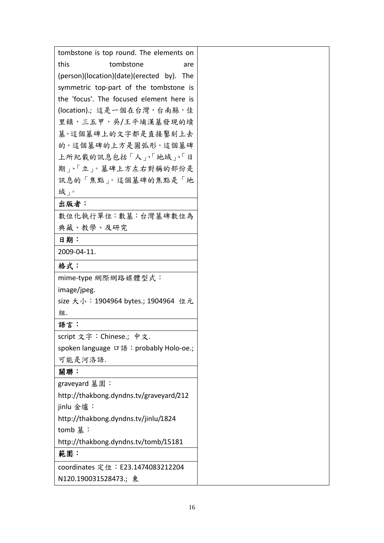| tombstone is top round. The elements on   |
|-------------------------------------------|
| this<br>tombstone<br>are                  |
| (person)(location)(date)(erected by). The |
| symmetric top-part of the tombstone is    |
| the 'focus'. The focused element here is  |
| (location).; 這是一個在台灣, 台南縣, 佳              |
| 里鎮,三五甲,吳/王平埔漢墓發現的墳                        |
| 墓。這個墓碑上的文字都是直接鑿刻上去                        |
| 的。這個墓碑的上方是圓弧形。這個墓碑                        |
| 上所紀載的訊息包括「人」、「地域」、「日                      |
| 期下「立」。墓碑上方左右對稱的部份是                        |
| 訊息的「焦點」。這個墓碑的焦點是「地                        |
| 域」。                                       |
| 出版者:                                      |
| 數位化執行單位:數墓:台灣墓碑數位為                        |
| 典藏、教學、及研究                                 |
| 日期:                                       |
| 2009-04-11.                               |
| 格式:                                       |
| mime-type 網際網路媒體型式:                       |
| image/jpeg.                               |
| size 大小:1904964 bytes.; 1904964 位元        |
| 組.                                        |
| 語言:                                       |
| script 文字:Chinese.; 中文.                   |
| spoken language ロ語: probably Holo-oe.;    |
| 可能是河洛語.                                   |
| 關聯:                                       |
| graveyard 墓園:                             |
| http://thakbong.dyndns.tv/graveyard/212   |
| jinlu 金爐:                                 |
| http://thakbong.dyndns.tv/jinlu/1824      |
| tomb 墓:                                   |
| http://thakbong.dyndns.tv/tomb/15181      |
| 範圍:                                       |
| coordinates 定位: E23.1474083212204         |
| N120.190031528473.; 東                     |
|                                           |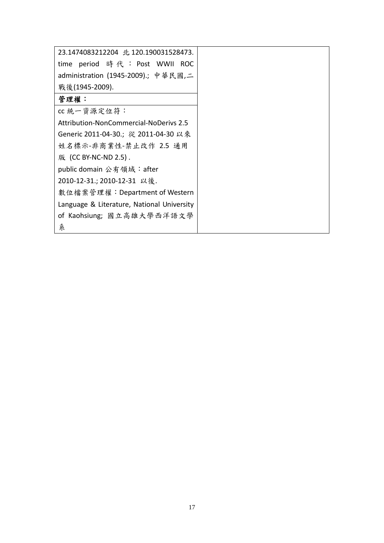| 23.1474083212204 北 120.190031528473.       |  |
|--------------------------------------------|--|
| time period 時代 : Post WWII ROC             |  |
| administration (1945-2009).; 中華民國,二        |  |
| 戰後(1945-2009).                             |  |
| 管理權:                                       |  |
| cc 統一資源定位符:                                |  |
| Attribution-NonCommercial-NoDerivs 2.5     |  |
| Generic 2011-04-30.; 從 2011-04-30 以來       |  |
| 姓名標示-非商業性-禁止改作 2.5 通用                      |  |
| 版 (CC BY-NC-ND 2.5).                       |  |
| public domain 公有領域: after                  |  |
| 2010-12-31.; 2010-12-31 以後.                |  |
| 數位檔案管理權:Department of Western              |  |
| Language & Literature, National University |  |
| of Kaohsiung; 國立高雄大學西洋語文學                  |  |
| 糸                                          |  |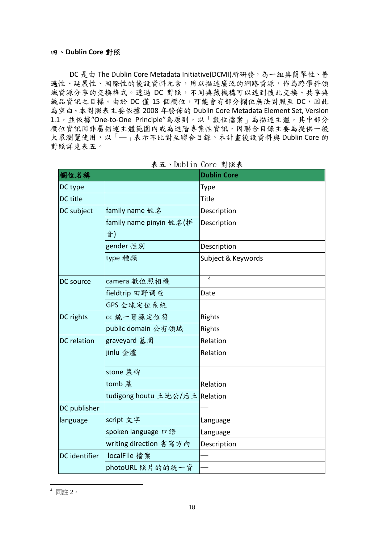#### 四、**Dublin Core** 對照

DC 是由 The Dublin Core Metadata Initiative(DCMI)所研發,為一組具簡單性、普 遍性、延展性、國際性的後設資料元素,用以描述廣泛的網路資源,作為跨學科領 域資源分享的交換格式。透過 DC 對照,不同典藏機構可以達到彼此交換、共享典 藏品資訊之目標。由於 DC 僅 15 個欄位,可能會有部分欄位無法對照至 DC,因此 為空白。本對照表主要依據 2008 年發佈的 Dublin Core Metadata Element Set, Version 1.1,並依據"One-to-One Principle"為原則,以「數位檔案」為描述主體,其中部分 欄位資訊因非屬描述主體範圍內或為進階專業性資訊,因聯合目錄主要為提供一般 大眾瀏覽使用,以「––表示不比對至聯合目錄。本計畫後設資料與 Dublin Core 的 對照詳見表五。

| 欄位名稱               |                         | <b>Dublin Core</b> |
|--------------------|-------------------------|--------------------|
| DC type            |                         | Type               |
| DC title           |                         | <b>Title</b>       |
| DC subject         | family name 姓名          | Description        |
|                    | family name pinyin 姓名(拼 | Description        |
|                    | 音)                      |                    |
|                    | gender 性別               | Description        |
|                    | type 種類                 | Subject & Keywords |
| DC source          | camera 數位照相機            | 4                  |
|                    | fieldtrip 田野调查          | Date               |
|                    | GPS 全球定位系統              |                    |
| DC rights          | cc 統一資源定位符              | Rights             |
|                    | public domain 公有領域      | Rights             |
| <b>DC</b> relation | graveyard 墓園            | Relation           |
|                    | jinlu 金爐                | Relation           |
|                    | stone 墓碑                |                    |
|                    | tomb 墓                  | Relation           |
|                    | tudigong houtu 土地公/后土   | Relation           |
| DC publisher       |                         |                    |
| language           | script 文字               | Language           |
|                    | spoken language 口語      | Language           |
|                    | writing direction 書寫方向  | Description        |
| DC identifier      | localFile 檔案            |                    |
|                    | photoURL 照片的的統一資        |                    |

| 表五、Dublin Core 對照表 |  |  |
|--------------------|--|--|
|--------------------|--|--|

<sup>1</sup>  $^4$  同註 2。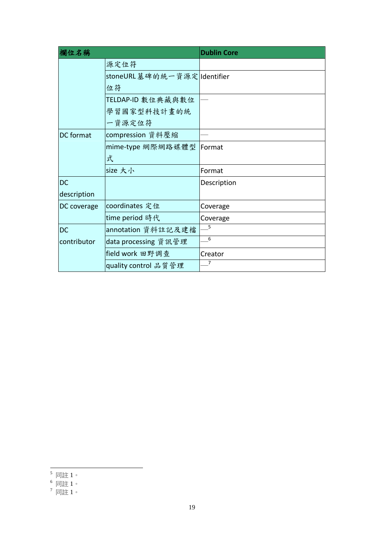| 欄位名稱             |                             | <b>Dublin Core</b> |
|------------------|-----------------------------|--------------------|
|                  | 源定位符                        |                    |
|                  | stoneURL墓碑的統一資源定 Identifier |                    |
|                  | 位符                          |                    |
|                  | TELDAP-ID 數位典藏與數位           |                    |
|                  | 學習國家型科技計畫的統                 |                    |
|                  | 一資源定位符                      |                    |
| <b>DC</b> format | compression 資料壓縮            |                    |
|                  | mime-type 網際網路媒體型           | Format             |
|                  | 式                           |                    |
|                  | size 大小                     | Format             |
| <b>DC</b>        |                             | Description        |
| description      |                             |                    |
| DC coverage      | coordinates 定位              | Coverage           |
|                  | time period 時代              | Coverage           |
| <b>DC</b>        | annotation 資料註記及建檔          | 5                  |
| contributor      | data processing 資訊管理        | 6                  |
|                  | field work 田野调查             | Creator            |
|                  | quality control 品質管理        | 7                  |

<sup>1</sup>  $^5$  同註 1。

 $^6$  同註 1。

 $^7$  同註 1。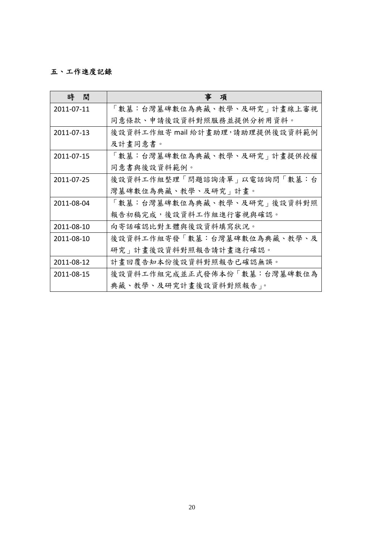## 五、工作進度記錄

| 時<br>間     | 軍<br>項                          |
|------------|---------------------------------|
| 2011-07-11 | 「數墓:台灣墓碑數位為典藏、教學、及研究」計畫線上審視     |
|            | 同意條款、申請後設資料對照服務並提供分析用資料。        |
| 2011-07-13 | 後設資料工作組寄 mail 給計畫助理,請助理提供後設資料範例 |
|            | 及計畫同意書。                         |
| 2011-07-15 | 「數墓:台灣墓碑數位為典藏、教學、及研究」計畫提供授權     |
|            | 同意書與後設資料範例。                     |
| 2011-07-25 | 後設資料工作組整理「問題諮詢清單」以電話詢問「數墓:台     |
|            | 灣墓碑數位為典藏、教學、及研究」計畫。             |
| 2011-08-04 | 「數墓:台灣墓碑數位為典藏、教學、及研究」後設資料對照     |
|            | 報告初稿完成,後設資料工作組進行審視與確認。          |
| 2011-08-10 | 向寄話確認比對主體與後設資料填寫狀況。             |
| 2011-08-10 | 後設資料工作組寄發「數墓:台灣墓碑數位為典藏、教學、及     |
|            | 研究」計畫後設資料對照報告請計畫進行確認。           |
| 2011-08-12 | 計畫回覆告知本份後設資料對照報告已確認無誤。          |
| 2011-08-15 | 後設資料工作組完成並正式發佈本份「數墓:台灣墓碑數位為     |
|            | 典藏、教學、及研究計畫後設資料對照報告」。           |